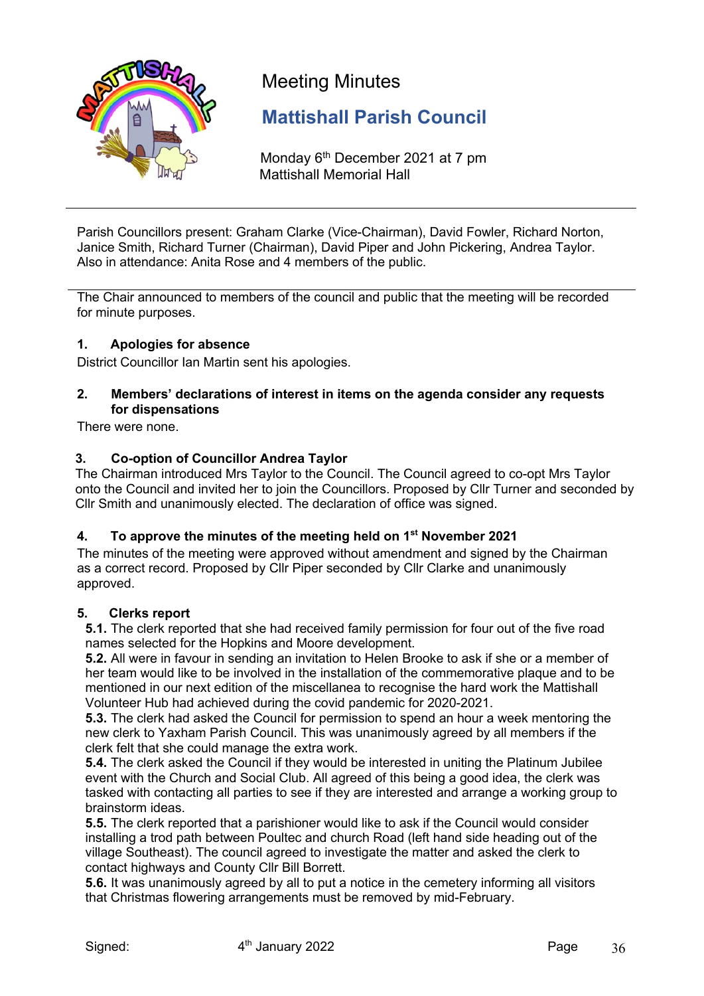

# Meeting Minutes

## **Mattishall Parish Council**

Monday 6<sup>th</sup> December 2021 at 7 pm Mattishall Memorial Hall

Parish Councillors present: Graham Clarke (Vice-Chairman), David Fowler, Richard Norton, Janice Smith, Richard Turner (Chairman), David Piper and John Pickering, Andrea Taylor. Also in attendance: Anita Rose and 4 members of the public.

The Chair announced to members of the council and public that the meeting will be recorded for minute purposes.

## **1. Apologies for absence**

District Councillor Ian Martin sent his apologies.

## **2. Members' declarations of interest in items on the agenda consider any requests for dispensations**

There were none.

## **3. Co-option of Councillor Andrea Taylor**

The Chairman introduced Mrs Taylor to the Council. The Council agreed to co-opt Mrs Taylor onto the Council and invited her to join the Councillors. Proposed by Cllr Turner and seconded by Cllr Smith and unanimously elected. The declaration of office was signed.

#### **4. To approve the minutes of the meeting held on 1st November 2021**

The minutes of the meeting were approved without amendment and signed by the Chairman as a correct record. Proposed by Cllr Piper seconded by Cllr Clarke and unanimously approved.

#### **5. Clerks report**

**5.1.** The clerk reported that she had received family permission for four out of the five road names selected for the Hopkins and Moore development.

**5.2.** All were in favour in sending an invitation to Helen Brooke to ask if she or a member of her team would like to be involved in the installation of the commemorative plaque and to be mentioned in our next edition of the miscellanea to recognise the hard work the Mattishall Volunteer Hub had achieved during the covid pandemic for 2020-2021.

**5.3.** The clerk had asked the Council for permission to spend an hour a week mentoring the new clerk to Yaxham Parish Council. This was unanimously agreed by all members if the clerk felt that she could manage the extra work.

**5.4.** The clerk asked the Council if they would be interested in uniting the Platinum Jubilee event with the Church and Social Club. All agreed of this being a good idea, the clerk was tasked with contacting all parties to see if they are interested and arrange a working group to brainstorm ideas.

**5.5.** The clerk reported that a parishioner would like to ask if the Council would consider installing a trod path between Poultec and church Road (left hand side heading out of the village Southeast). The council agreed to investigate the matter and asked the clerk to contact highways and County Cllr Bill Borrett.

**5.6.** It was unanimously agreed by all to put a notice in the cemetery informing all visitors that Christmas flowering arrangements must be removed by mid-February.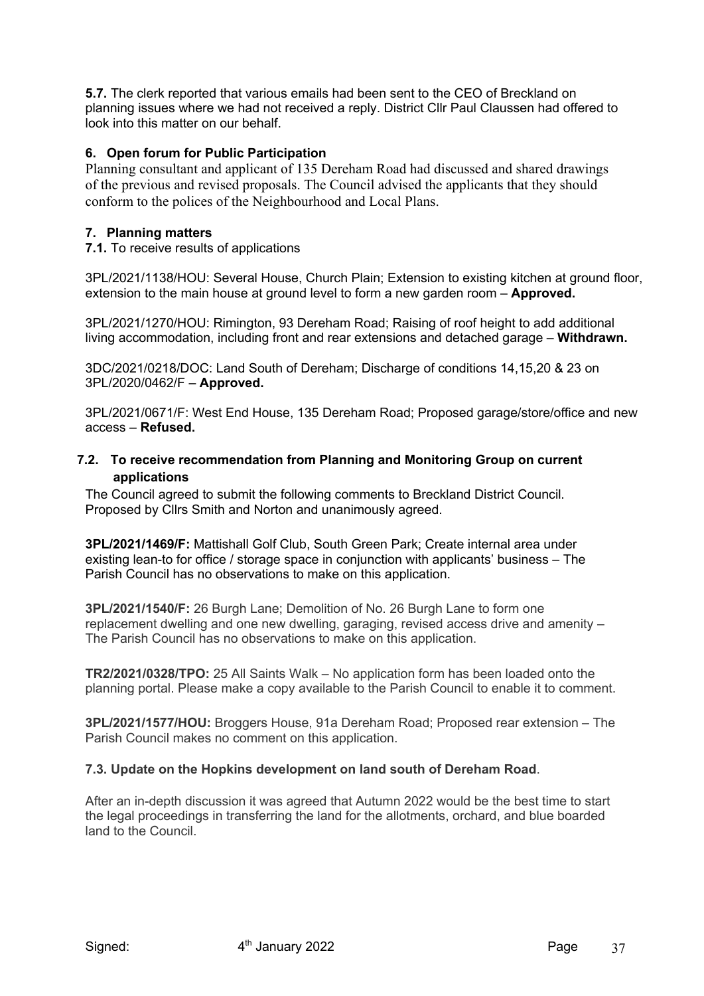**5.7.** The clerk reported that various emails had been sent to the CEO of Breckland on planning issues where we had not received a reply. District Cllr Paul Claussen had offered to look into this matter on our behalf.

## **6. Open forum for Public Participation**

Planning consultant and applicant of 135 Dereham Road had discussed and shared drawings of the previous and revised proposals. The Council advised the applicants that they should conform to the polices of the Neighbourhood and Local Plans.

#### **7. Planning matters**

**7.1.** To receive results of applications

3PL/2021/1138/HOU: Several House, Church Plain; Extension to existing kitchen at ground floor, extension to the main house at ground level to form a new garden room – **Approved.**

3PL/2021/1270/HOU: Rimington, 93 Dereham Road; Raising of roof height to add additional living accommodation, including front and rear extensions and detached garage – **Withdrawn.**

3DC/2021/0218/DOC: Land South of Dereham; Discharge of conditions 14,15,20 & 23 on 3PL/2020/0462/F – **Approved.**

3PL/2021/0671/F: West End House, 135 Dereham Road; Proposed garage/store/office and new access – **Refused.**

#### **7.2. To receive recommendation from Planning and Monitoring Group on current applications**

The Council agreed to submit the following comments to Breckland District Council. Proposed by Cllrs Smith and Norton and unanimously agreed.

**3PL/2021/1469/F:** Mattishall Golf Club, South Green Park; Create internal area under existing lean-to for office / storage space in conjunction with applicants' business – The Parish Council has no observations to make on this application.

**3PL/2021/1540/F:** 26 Burgh Lane; Demolition of No. 26 Burgh Lane to form one replacement dwelling and one new dwelling, garaging, revised access drive and amenity – The Parish Council has no observations to make on this application.

**TR2/2021/0328/TPO:** 25 All Saints Walk – No application form has been loaded onto the planning portal. Please make a copy available to the Parish Council to enable it to comment.

**3PL/2021/1577/HOU:** Broggers House, 91a Dereham Road; Proposed rear extension – The Parish Council makes no comment on this application.

#### **7.3. Update on the Hopkins development on land south of Dereham Road**.

After an in-depth discussion it was agreed that Autumn 2022 would be the best time to start the legal proceedings in transferring the land for the allotments, orchard, and blue boarded land to the Council.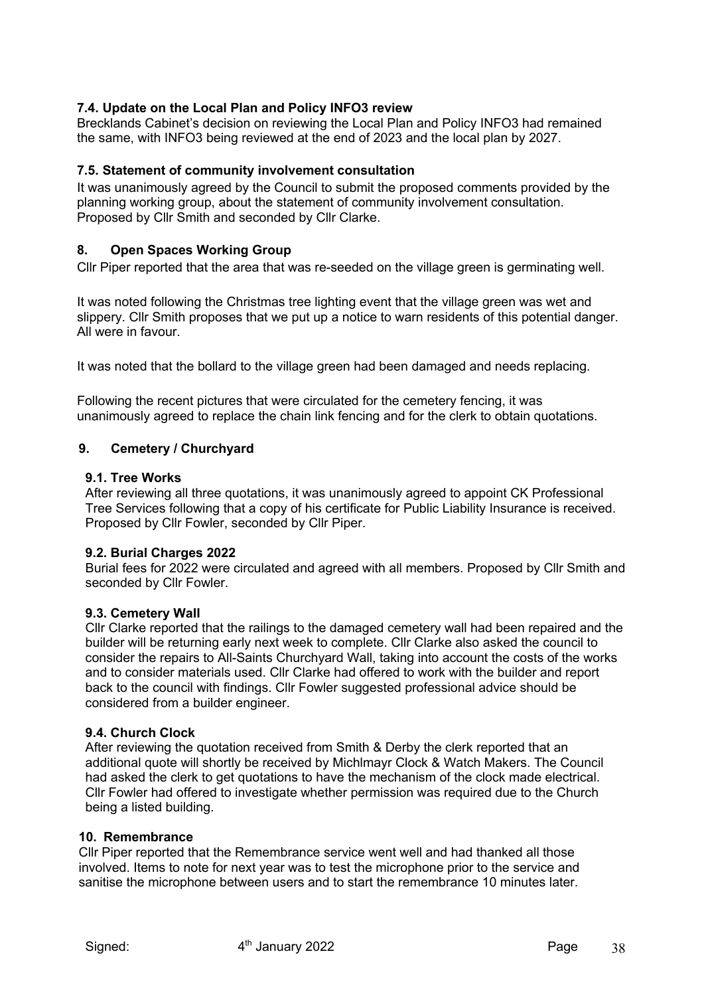## **7.4. Update on the Local Plan and Policy INFO3 review**

Brecklands Cabinet's decision on reviewing the Local Plan and Policy INFO3 had remained the same, with INFO3 being reviewed at the end of 2023 and the local plan by 2027.

#### **7.5. Statement of community involvement consultation**

It was unanimously agreed by the Council to submit the proposed comments provided by the planning working group, about the statement of community involvement consultation. Proposed by Cllr Smith and seconded by Cllr Clarke.

#### **8. Open Spaces Working Group**

Cllr Piper reported that the area that was re-seeded on the village green is germinating well.

It was noted following the Christmas tree lighting event that the village green was wet and slippery. Cllr Smith proposes that we put up a notice to warn residents of this potential danger. All were in favour.

It was noted that the bollard to the village green had been damaged and needs replacing.

Following the recent pictures that were circulated for the cemetery fencing, it was unanimously agreed to replace the chain link fencing and for the clerk to obtain quotations.

#### **9. Cemetery / Churchyard**

#### **9.1. Tree Works**

After reviewing all three quotations, it was unanimously agreed to appoint CK Professional Tree Services following that a copy of his certificate for Public Liability Insurance is received. Proposed by Cllr Fowler, seconded by Cllr Piper.

#### **9.2. Burial Charges 2022**

Burial fees for 2022 were circulated and agreed with all members. Proposed by Cllr Smith and seconded by Cllr Fowler.

#### **9.3. Cemetery Wall**

Cllr Clarke reported that the railings to the damaged cemetery wall had been repaired and the builder will be returning early next week to complete. Cllr Clarke also asked the council to consider the repairs to All-Saints Churchyard Wall, taking into account the costs of the works and to consider materials used. Cllr Clarke had offered to work with the builder and report back to the council with findings. Cllr Fowler suggested professional advice should be considered from a builder engineer.

#### **9.4. Church Clock**

After reviewing the quotation received from Smith & Derby the clerk reported that an additional quote will shortly be received by Michlmayr Clock & Watch Makers. The Council had asked the clerk to get quotations to have the mechanism of the clock made electrical. Cllr Fowler had offered to investigate whether permission was required due to the Church being a listed building.

#### **10. Remembrance**

Cllr Piper reported that the Remembrance service went well and had thanked all those involved. Items to note for next year was to test the microphone prior to the service and sanitise the microphone between users and to start the remembrance 10 minutes later.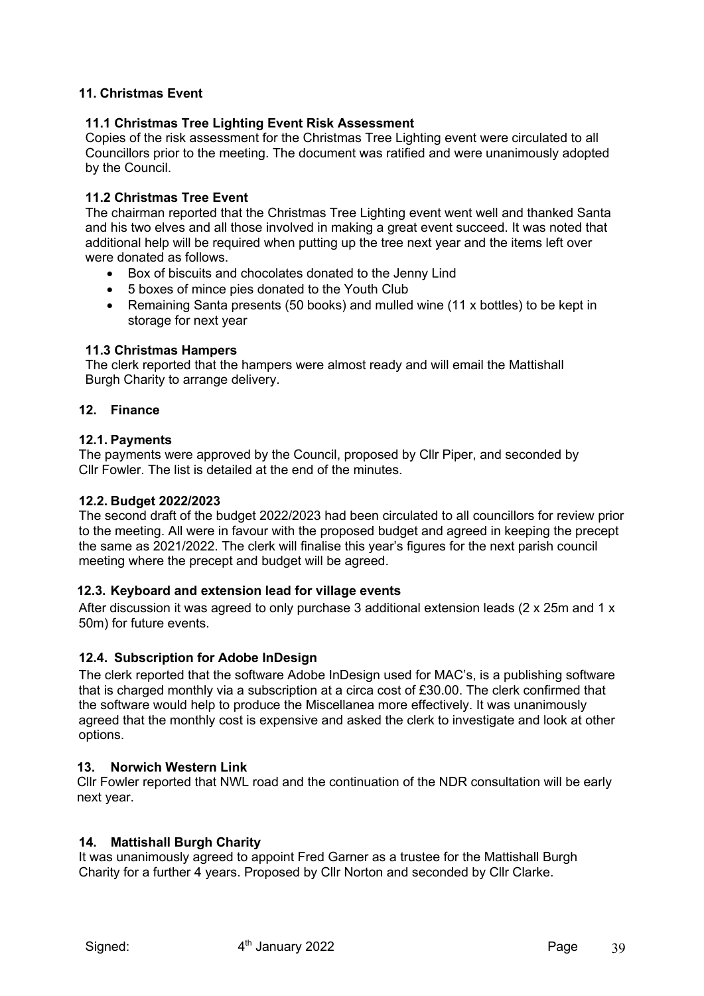## **11. Christmas Event**

### **11.1 Christmas Tree Lighting Event Risk Assessment**

Copies of the risk assessment for the Christmas Tree Lighting event were circulated to all Councillors prior to the meeting. The document was ratified and were unanimously adopted by the Council.

## **11.2 Christmas Tree Event**

The chairman reported that the Christmas Tree Lighting event went well and thanked Santa and his two elves and all those involved in making a great event succeed. It was noted that additional help will be required when putting up the tree next year and the items left over were donated as follows.

- Box of biscuits and chocolates donated to the Jenny Lind
- 5 boxes of mince pies donated to the Youth Club
- Remaining Santa presents (50 books) and mulled wine (11 x bottles) to be kept in storage for next year

#### **11.3 Christmas Hampers**

The clerk reported that the hampers were almost ready and will email the Mattishall Burgh Charity to arrange delivery.

### **12. Finance**

#### **12.1. Payments**

The payments were approved by the Council, proposed by Cllr Piper, and seconded by Cllr Fowler. The list is detailed at the end of the minutes.

#### **12.2. Budget 2022/2023**

The second draft of the budget 2022/2023 had been circulated to all councillors for review prior to the meeting. All were in favour with the proposed budget and agreed in keeping the precept the same as 2021/2022. The clerk will finalise this year's figures for the next parish council meeting where the precept and budget will be agreed.

#### **12.3. Keyboard and extension lead for village events**

After discussion it was agreed to only purchase 3 additional extension leads (2 x 25m and 1 x 50m) for future events.

#### **12.4. Subscription for Adobe InDesign**

The clerk reported that the software Adobe InDesign used for MAC's, is a publishing software that is charged monthly via a subscription at a circa cost of £30.00. The clerk confirmed that the software would help to produce the Miscellanea more effectively. It was unanimously agreed that the monthly cost is expensive and asked the clerk to investigate and look at other options.

#### **13. Norwich Western Link**

Cllr Fowler reported that NWL road and the continuation of the NDR consultation will be early next year.

#### **14. Mattishall Burgh Charity**

It was unanimously agreed to appoint Fred Garner as a trustee for the Mattishall Burgh Charity for a further 4 years. Proposed by Cllr Norton and seconded by Cllr Clarke.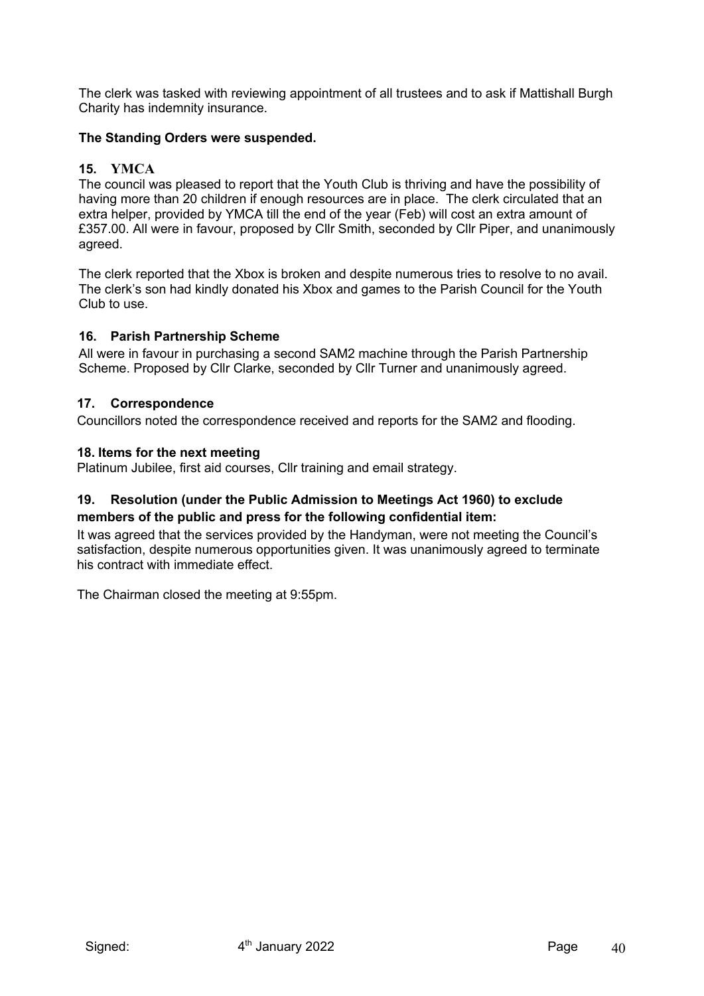The clerk was tasked with reviewing appointment of all trustees and to ask if Mattishall Burgh Charity has indemnity insurance.

## **The Standing Orders were suspended.**

## **15. YMCA**

The council was pleased to report that the Youth Club is thriving and have the possibility of having more than 20 children if enough resources are in place. The clerk circulated that an extra helper, provided by YMCA till the end of the year (Feb) will cost an extra amount of £357.00. All were in favour, proposed by Cllr Smith, seconded by Cllr Piper, and unanimously agreed.

The clerk reported that the Xbox is broken and despite numerous tries to resolve to no avail. The clerk's son had kindly donated his Xbox and games to the Parish Council for the Youth Club to use.

#### **16. Parish Partnership Scheme**

All were in favour in purchasing a second SAM2 machine through the Parish Partnership Scheme. Proposed by Cllr Clarke, seconded by Cllr Turner and unanimously agreed.

#### **17. Correspondence**

Councillors noted the correspondence received and reports for the SAM2 and flooding.

#### **18. Items for the next meeting**

Platinum Jubilee, first aid courses, Cllr training and email strategy.

## **19. Resolution (under the Public Admission to Meetings Act 1960) to exclude members of the public and press for the following confidential item:**

It was agreed that the services provided by the Handyman, were not meeting the Council's satisfaction, despite numerous opportunities given. It was unanimously agreed to terminate his contract with immediate effect.

The Chairman closed the meeting at 9:55pm.